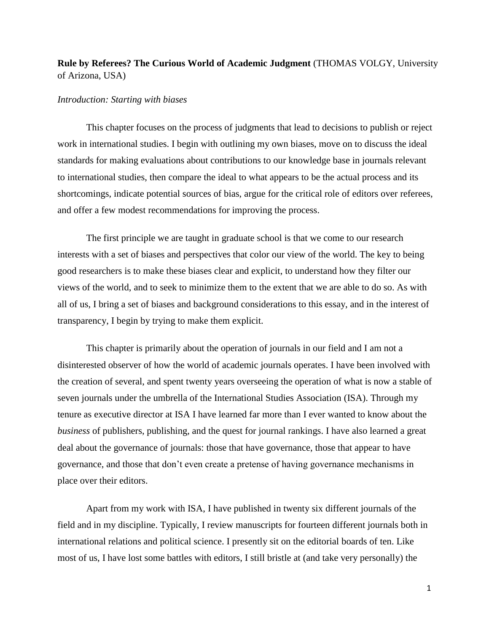# **Rule by Referees? The Curious World of Academic Judgment** (THOMAS VOLGY, University of Arizona, USA)

#### *Introduction: Starting with biases*

This chapter focuses on the process of judgments that lead to decisions to publish or reject work in international studies. I begin with outlining my own biases, move on to discuss the ideal standards for making evaluations about contributions to our knowledge base in journals relevant to international studies, then compare the ideal to what appears to be the actual process and its shortcomings, indicate potential sources of bias, argue for the critical role of editors over referees, and offer a few modest recommendations for improving the process.

The first principle we are taught in graduate school is that we come to our research interests with a set of biases and perspectives that color our view of the world. The key to being good researchers is to make these biases clear and explicit, to understand how they filter our views of the world, and to seek to minimize them to the extent that we are able to do so. As with all of us, I bring a set of biases and background considerations to this essay, and in the interest of transparency, I begin by trying to make them explicit.

This chapter is primarily about the operation of journals in our field and I am not a disinterested observer of how the world of academic journals operates. I have been involved with the creation of several, and spent twenty years overseeing the operation of what is now a stable of seven journals under the umbrella of the International Studies Association (ISA). Through my tenure as executive director at ISA I have learned far more than I ever wanted to know about the *business* of publishers, publishing, and the quest for journal rankings. I have also learned a great deal about the governance of journals: those that have governance, those that appear to have governance, and those that don't even create a pretense of having governance mechanisms in place over their editors.

Apart from my work with ISA, I have published in twenty six different journals of the field and in my discipline. Typically, I review manuscripts for fourteen different journals both in international relations and political science. I presently sit on the editorial boards of ten. Like most of us, I have lost some battles with editors, I still bristle at (and take very personally) the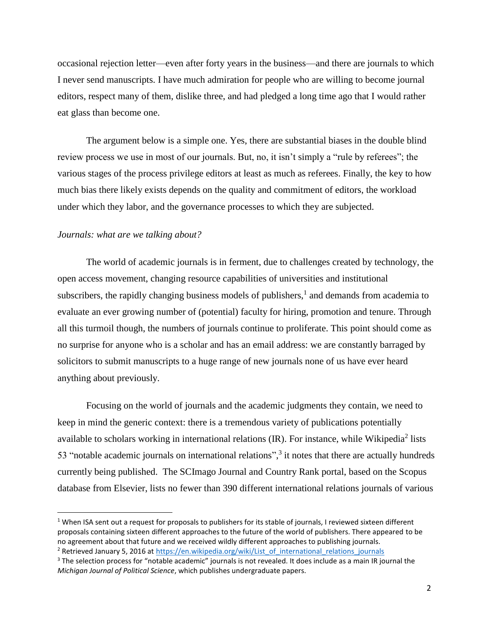occasional rejection letter—even after forty years in the business—and there are journals to which I never send manuscripts. I have much admiration for people who are willing to become journal editors, respect many of them, dislike three, and had pledged a long time ago that I would rather eat glass than become one.

The argument below is a simple one. Yes, there are substantial biases in the double blind review process we use in most of our journals. But, no, it isn't simply a "rule by referees"; the various stages of the process privilege editors at least as much as referees. Finally, the key to how much bias there likely exists depends on the quality and commitment of editors, the workload under which they labor, and the governance processes to which they are subjected.

# *Journals: what are we talking about?*

 $\overline{a}$ 

The world of academic journals is in ferment, due to challenges created by technology, the open access movement, changing resource capabilities of universities and institutional subscribers, the rapidly changing business models of publishers, $<sup>1</sup>$  and demands from academia to</sup> evaluate an ever growing number of (potential) faculty for hiring, promotion and tenure. Through all this turmoil though, the numbers of journals continue to proliferate. This point should come as no surprise for anyone who is a scholar and has an email address: we are constantly barraged by solicitors to submit manuscripts to a huge range of new journals none of us have ever heard anything about previously.

Focusing on the world of journals and the academic judgments they contain, we need to keep in mind the generic context: there is a tremendous variety of publications potentially available to scholars working in international relations  $(IR)$ . For instance, while Wikipedia<sup>2</sup> lists 53 "notable academic journals on international relations",<sup>3</sup> it notes that there are actually hundreds currently being published. The SCImago Journal and Country Rank portal, based on the Scopus database from Elsevier, lists no fewer than 390 different international relations journals of various

 $1$  When ISA sent out a request for proposals to publishers for its stable of journals, I reviewed sixteen different proposals containing sixteen different approaches to the future of the world of publishers. There appeared to be no agreement about that future and we received wildly different approaches to publishing journals. <sup>2</sup> Retrieved January 5, 2016 at [https://en.wikipedia.org/wiki/List\\_of\\_international\\_relations\\_journals](https://en.wikipedia.org/wiki/List_of_international_relations_journals)

 $3$  The selection process for "notable academic" journals is not revealed. It does include as a main IR journal the *Michigan Journal of Political Science*, which publishes undergraduate papers.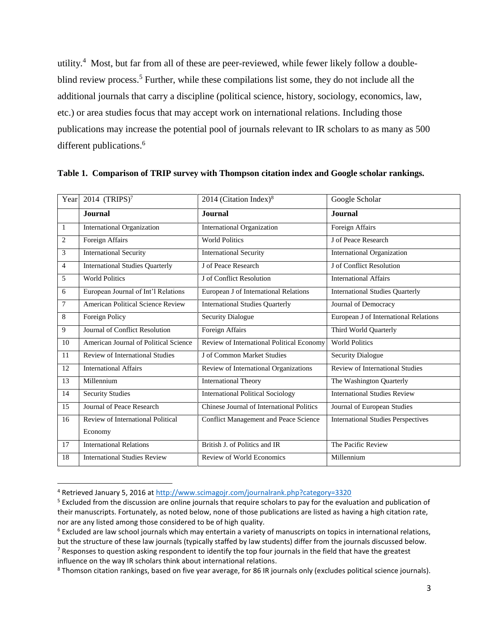utility.<sup>4</sup> Most, but far from all of these are peer-reviewed, while fewer likely follow a doubleblind review process.<sup>5</sup> Further, while these compilations list some, they do not include all the additional journals that carry a discipline (political science, history, sociology, economics, law, etc.) or area studies focus that may accept work on international relations. Including those publications may increase the potential pool of journals relevant to IR scholars to as many as 500 different publications.<sup>6</sup>

| Year           | 2014 $(TRIPS)^7$                         | 2014 (Citation Index) $8$                 | Google Scholar                            |
|----------------|------------------------------------------|-------------------------------------------|-------------------------------------------|
|                | <b>Journal</b>                           | <b>Journal</b>                            | <b>Journal</b>                            |
| $\mathbf{1}$   | <b>International Organization</b>        | <b>International Organization</b>         | <b>Foreign Affairs</b>                    |
| $\overline{2}$ | Foreign Affairs                          | <b>World Politics</b>                     | J of Peace Research                       |
| 3              | <b>International Security</b>            | <b>International Security</b>             | International Organization                |
| 4              | <b>International Studies Quarterly</b>   | J of Peace Research                       | J of Conflict Resolution                  |
| 5              | <b>World Politics</b>                    | J of Conflict Resolution                  | <b>International Affairs</b>              |
| 6              | European Journal of Int'l Relations      | European J of International Relations     | <b>International Studies Quarterly</b>    |
| 7              | <b>American Political Science Review</b> | <b>International Studies Quarterly</b>    | Journal of Democracy                      |
| 8              | Foreign Policy                           | <b>Security Dialogue</b>                  | European J of International Relations     |
| 9              | Journal of Conflict Resolution           | <b>Foreign Affairs</b>                    | Third World Quarterly                     |
| 10             | American Journal of Political Science    | Review of International Political Economy | <b>World Politics</b>                     |
| 11             | <b>Review of International Studies</b>   | J of Common Market Studies                | <b>Security Dialogue</b>                  |
| 12             | <b>International Affairs</b>             | Review of International Organizations     | Review of International Studies           |
| 13             | Millennium                               | <b>International Theory</b>               | The Washington Quarterly                  |
| 14             | <b>Security Studies</b>                  | <b>International Political Sociology</b>  | <b>International Studies Review</b>       |
| 15             | Journal of Peace Research                | Chinese Journal of International Politics | Journal of European Studies               |
| 16             | Review of International Political        | Conflict Management and Peace Science     | <b>International Studies Perspectives</b> |
|                | Economy                                  |                                           |                                           |
| 17             | <b>International Relations</b>           | British J. of Politics and IR             | The Pacific Review                        |
| 18             | <b>International Studies Review</b>      | Review of World Economics                 | Millennium                                |

#### **Table 1. Comparison of TRIP survey with Thompson citation index and Google scholar rankings.**

<sup>4</sup> Retrieved January 5, 2016 at<http://www.scimagojr.com/journalrank.php?category=3320>

<sup>&</sup>lt;sup>5</sup> Excluded from the discussion are online journals that require scholars to pay for the evaluation and publication of their manuscripts. Fortunately, as noted below, none of those publications are listed as having a high citation rate, nor are any listed among those considered to be of high quality.

 $6$  Excluded are law school journals which may entertain a variety of manuscripts on topics in international relations,

but the structure of these law journals (typically staffed by law students) differ from the journals discussed below.  $7$  Responses to question asking respondent to identify the top four journals in the field that have the greatest influence on the way IR scholars think about international relations.

<sup>&</sup>lt;sup>8</sup> Thomson citation rankings, based on five year average, for 86 IR journals only (excludes political science journals).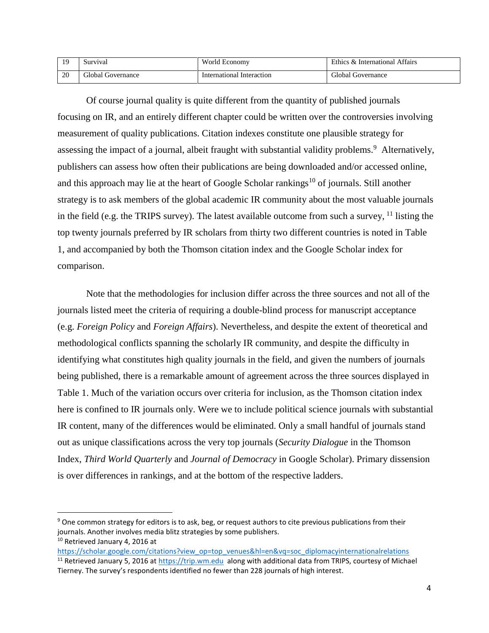| 10 | Survival          | World Economy             | Ethics & International<br>Affairs |
|----|-------------------|---------------------------|-----------------------------------|
| 20 | Global Governance | International Interaction | Global Governance                 |

Of course journal quality is quite different from the quantity of published journals focusing on IR, and an entirely different chapter could be written over the controversies involving measurement of quality publications. Citation indexes constitute one plausible strategy for assessing the impact of a journal, albeit fraught with substantial validity problems.<sup>9</sup> Alternatively, publishers can assess how often their publications are being downloaded and/or accessed online, and this approach may lie at the heart of Google Scholar rankings<sup>10</sup> of journals. Still another strategy is to ask members of the global academic IR community about the most valuable journals in the field (e.g. the TRIPS survey). The latest available outcome from such a survey,  $^{11}$  listing the top twenty journals preferred by IR scholars from thirty two different countries is noted in Table 1, and accompanied by both the Thomson citation index and the Google Scholar index for comparison.

Note that the methodologies for inclusion differ across the three sources and not all of the journals listed meet the criteria of requiring a double-blind process for manuscript acceptance (e.g. *Foreign Policy* and *Foreign Affairs*). Nevertheless, and despite the extent of theoretical and methodological conflicts spanning the scholarly IR community, and despite the difficulty in identifying what constitutes high quality journals in the field, and given the numbers of journals being published, there is a remarkable amount of agreement across the three sources displayed in Table 1. Much of the variation occurs over criteria for inclusion, as the Thomson citation index here is confined to IR journals only. Were we to include political science journals with substantial IR content, many of the differences would be eliminated. Only a small handful of journals stand out as unique classifications across the very top journals (*Security Dialogue* in the Thomson Index, *Third World Quarterly* and *Journal of Democracy* in Google Scholar). Primary dissension is over differences in rankings, and at the bottom of the respective ladders.

 $\overline{a}$ 

<sup>&</sup>lt;sup>9</sup> One common strategy for editors is to ask, beg, or request authors to cite previous publications from their journals. Another involves media blitz strategies by some publishers. <sup>10</sup> Retrieved January 4, 2016 at

[https://scholar.google.com/citations?view\\_op=top\\_venues&hl=en&vq=soc\\_diplomacyinternationalrelations](https://scholar.google.com/citations?view_op=top_venues&hl=en&vq=soc_diplomacyinternationalrelations) <sup>11</sup> Retrieved January 5, 2016 a[t https://trip.wm.edu](https://trip.wm.edu/) along with additional data from TRIPS, courtesy of Michael Tierney. The survey's respondents identified no fewer than 228 journals of high interest.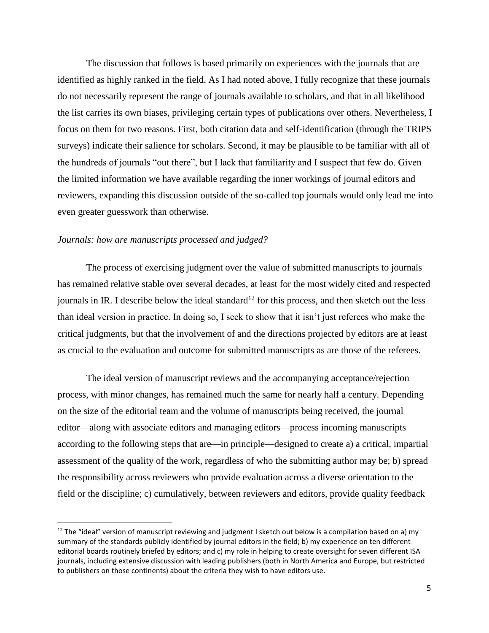The discussion that follows is based primarily on experiences with the journals that are identified as highly ranked in the field. As I had noted above, I fully recognize that these journals do not necessarily represent the range of journals available to scholars, and that in all likelihood the list carries its own biases, privileging certain types of publications over others. Nevertheless, I focus on them for two reasons. First, both citation data and self-identification (through the TRIPS surveys) indicate their salience for scholars. Second, it may be plausible to be familiar with all of the hundreds of journals "out there", but I lack that familiarity and I suspect that few do. Given the limited information we have available regarding the inner workings of journal editors and reviewers, expanding this discussion outside of the so-called top journals would only lead me into even greater guesswork than otherwise.

### *Journals: how are manuscripts processed and judged?*

l

The process of exercising judgment over the value of submitted manuscripts to journals has remained relative stable over several decades, at least for the most widely cited and respected journals in IR. I describe below the ideal standard<sup>12</sup> for this process, and then sketch out the less than ideal version in practice. In doing so, I seek to show that it isn't just referees who make the critical judgments, but that the involvement of and the directions projected by editors are at least as crucial to the evaluation and outcome for submitted manuscripts as are those of the referees.

The ideal version of manuscript reviews and the accompanying acceptance/rejection process, with minor changes, has remained much the same for nearly half a century. Depending on the size of the editorial team and the volume of manuscripts being received, the journal editor—along with associate editors and managing editors—process incoming manuscripts according to the following steps that are—in principle—designed to create a) a critical, impartial assessment of the quality of the work, regardless of who the submitting author may be; b) spread the responsibility across reviewers who provide evaluation across a diverse orientation to the field or the discipline; c) cumulatively, between reviewers and editors, provide quality feedback

 $12$  The "ideal" version of manuscript reviewing and judgment I sketch out below is a compilation based on a) my summary of the standards publicly identified by journal editors in the field; b) my experience on ten different editorial boards routinely briefed by editors; and c) my role in helping to create oversight for seven different ISA journals, including extensive discussion with leading publishers (both in North America and Europe, but restricted to publishers on those continents) about the criteria they wish to have editors use.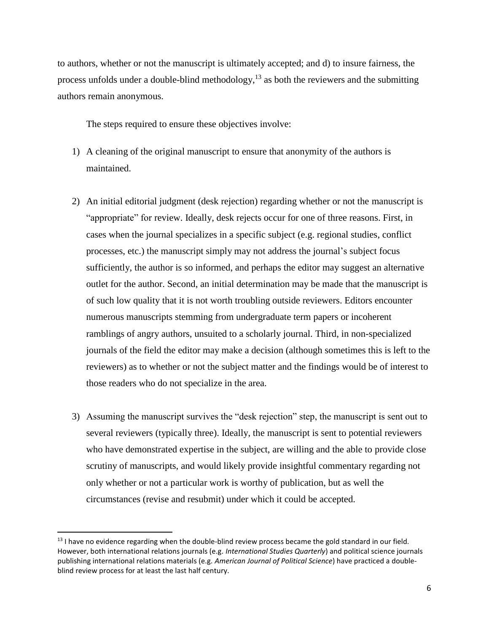to authors, whether or not the manuscript is ultimately accepted; and d) to insure fairness, the process unfolds under a double-blind methodology,  $13$  as both the reviewers and the submitting authors remain anonymous.

The steps required to ensure these objectives involve:

- 1) A cleaning of the original manuscript to ensure that anonymity of the authors is maintained.
- 2) An initial editorial judgment (desk rejection) regarding whether or not the manuscript is "appropriate" for review. Ideally, desk rejects occur for one of three reasons. First, in cases when the journal specializes in a specific subject (e.g. regional studies, conflict processes, etc.) the manuscript simply may not address the journal's subject focus sufficiently, the author is so informed, and perhaps the editor may suggest an alternative outlet for the author. Second, an initial determination may be made that the manuscript is of such low quality that it is not worth troubling outside reviewers. Editors encounter numerous manuscripts stemming from undergraduate term papers or incoherent ramblings of angry authors, unsuited to a scholarly journal. Third, in non-specialized journals of the field the editor may make a decision (although sometimes this is left to the reviewers) as to whether or not the subject matter and the findings would be of interest to those readers who do not specialize in the area.
- 3) Assuming the manuscript survives the "desk rejection" step, the manuscript is sent out to several reviewers (typically three). Ideally, the manuscript is sent to potential reviewers who have demonstrated expertise in the subject, are willing and the able to provide close scrutiny of manuscripts, and would likely provide insightful commentary regarding not only whether or not a particular work is worthy of publication, but as well the circumstances (revise and resubmit) under which it could be accepted.

 $\overline{a}$ 

 $13$  I have no evidence regarding when the double-blind review process became the gold standard in our field. However, both international relations journals (e.g. *International Studies Quarterly*) and political science journals publishing international relations materials (e.g. *American Journal of Political Science*) have practiced a doubleblind review process for at least the last half century.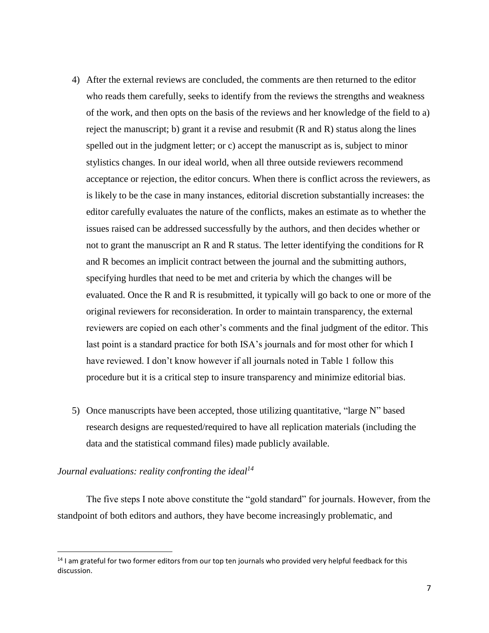- 4) After the external reviews are concluded, the comments are then returned to the editor who reads them carefully, seeks to identify from the reviews the strengths and weakness of the work, and then opts on the basis of the reviews and her knowledge of the field to a) reject the manuscript; b) grant it a revise and resubmit (R and R) status along the lines spelled out in the judgment letter; or c) accept the manuscript as is, subject to minor stylistics changes. In our ideal world, when all three outside reviewers recommend acceptance or rejection, the editor concurs. When there is conflict across the reviewers, as is likely to be the case in many instances, editorial discretion substantially increases: the editor carefully evaluates the nature of the conflicts, makes an estimate as to whether the issues raised can be addressed successfully by the authors, and then decides whether or not to grant the manuscript an R and R status. The letter identifying the conditions for R and R becomes an implicit contract between the journal and the submitting authors, specifying hurdles that need to be met and criteria by which the changes will be evaluated. Once the R and R is resubmitted, it typically will go back to one or more of the original reviewers for reconsideration. In order to maintain transparency, the external reviewers are copied on each other's comments and the final judgment of the editor. This last point is a standard practice for both ISA's journals and for most other for which I have reviewed. I don't know however if all journals noted in Table 1 follow this procedure but it is a critical step to insure transparency and minimize editorial bias.
- 5) Once manuscripts have been accepted, those utilizing quantitative, "large N" based research designs are requested/required to have all replication materials (including the data and the statistical command files) made publicly available.

# *Journal evaluations: reality confronting the ideal<sup>14</sup>*

l

The five steps I note above constitute the "gold standard" for journals. However, from the standpoint of both editors and authors, they have become increasingly problematic, and

<sup>&</sup>lt;sup>14</sup> I am grateful for two former editors from our top ten journals who provided very helpful feedback for this discussion.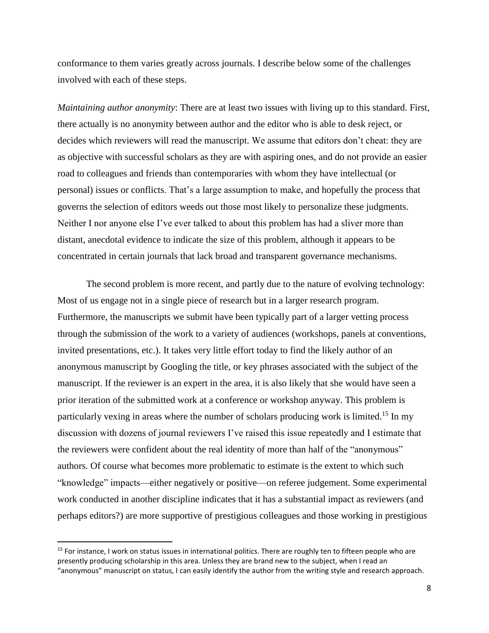conformance to them varies greatly across journals. I describe below some of the challenges involved with each of these steps.

*Maintaining author anonymity*: There are at least two issues with living up to this standard. First, there actually is no anonymity between author and the editor who is able to desk reject, or decides which reviewers will read the manuscript. We assume that editors don't cheat: they are as objective with successful scholars as they are with aspiring ones, and do not provide an easier road to colleagues and friends than contemporaries with whom they have intellectual (or personal) issues or conflicts. That's a large assumption to make, and hopefully the process that governs the selection of editors weeds out those most likely to personalize these judgments. Neither I nor anyone else I've ever talked to about this problem has had a sliver more than distant, anecdotal evidence to indicate the size of this problem, although it appears to be concentrated in certain journals that lack broad and transparent governance mechanisms.

The second problem is more recent, and partly due to the nature of evolving technology: Most of us engage not in a single piece of research but in a larger research program. Furthermore, the manuscripts we submit have been typically part of a larger vetting process through the submission of the work to a variety of audiences (workshops, panels at conventions, invited presentations, etc.). It takes very little effort today to find the likely author of an anonymous manuscript by Googling the title, or key phrases associated with the subject of the manuscript. If the reviewer is an expert in the area, it is also likely that she would have seen a prior iteration of the submitted work at a conference or workshop anyway. This problem is particularly vexing in areas where the number of scholars producing work is limited.<sup>15</sup> In my discussion with dozens of journal reviewers I've raised this issue repeatedly and I estimate that the reviewers were confident about the real identity of more than half of the "anonymous" authors. Of course what becomes more problematic to estimate is the extent to which such "knowledge" impacts—either negatively or positive—on referee judgement. Some experimental work conducted in another discipline indicates that it has a substantial impact as reviewers (and perhaps editors?) are more supportive of prestigious colleagues and those working in prestigious

<sup>&</sup>lt;sup>15</sup> For instance, I work on status issues in international politics. There are roughly ten to fifteen people who are presently producing scholarship in this area. Unless they are brand new to the subject, when I read an "anonymous" manuscript on status, I can easily identify the author from the writing style and research approach.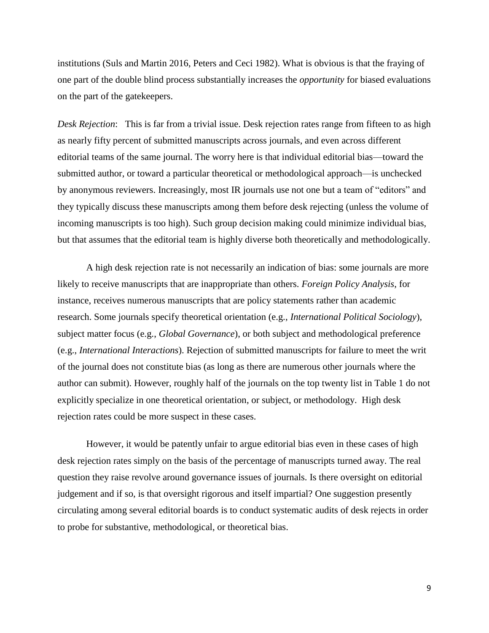institutions (Suls and Martin 2016, Peters and Ceci 1982). What is obvious is that the fraying of one part of the double blind process substantially increases the *opportunity* for biased evaluations on the part of the gatekeepers.

*Desk Rejection*: This is far from a trivial issue. Desk rejection rates range from fifteen to as high as nearly fifty percent of submitted manuscripts across journals, and even across different editorial teams of the same journal. The worry here is that individual editorial bias—toward the submitted author, or toward a particular theoretical or methodological approach—is unchecked by anonymous reviewers. Increasingly, most IR journals use not one but a team of "editors" and they typically discuss these manuscripts among them before desk rejecting (unless the volume of incoming manuscripts is too high). Such group decision making could minimize individual bias, but that assumes that the editorial team is highly diverse both theoretically and methodologically.

A high desk rejection rate is not necessarily an indication of bias: some journals are more likely to receive manuscripts that are inappropriate than others. *Foreign Policy Analysis*, for instance, receives numerous manuscripts that are policy statements rather than academic research. Some journals specify theoretical orientation (e.g., *International Political Sociology*), subject matter focus (e.g., *Global Governance*), or both subject and methodological preference (e.g., *International Interactions*). Rejection of submitted manuscripts for failure to meet the writ of the journal does not constitute bias (as long as there are numerous other journals where the author can submit). However, roughly half of the journals on the top twenty list in Table 1 do not explicitly specialize in one theoretical orientation, or subject, or methodology. High desk rejection rates could be more suspect in these cases.

However, it would be patently unfair to argue editorial bias even in these cases of high desk rejection rates simply on the basis of the percentage of manuscripts turned away. The real question they raise revolve around governance issues of journals. Is there oversight on editorial judgement and if so, is that oversight rigorous and itself impartial? One suggestion presently circulating among several editorial boards is to conduct systematic audits of desk rejects in order to probe for substantive, methodological, or theoretical bias.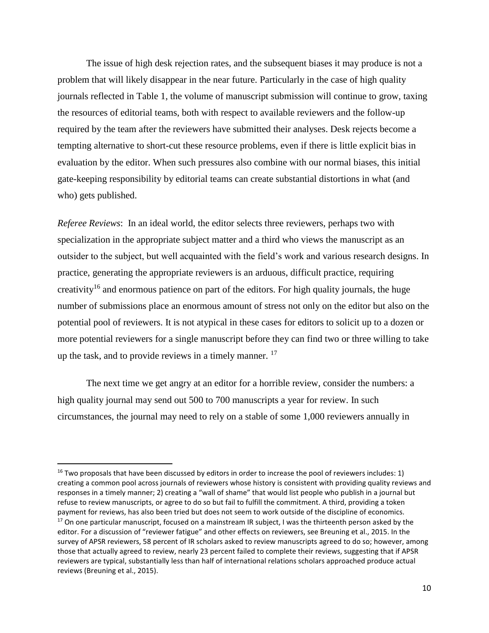The issue of high desk rejection rates, and the subsequent biases it may produce is not a problem that will likely disappear in the near future. Particularly in the case of high quality journals reflected in Table 1, the volume of manuscript submission will continue to grow, taxing the resources of editorial teams, both with respect to available reviewers and the follow-up required by the team after the reviewers have submitted their analyses. Desk rejects become a tempting alternative to short-cut these resource problems, even if there is little explicit bias in evaluation by the editor. When such pressures also combine with our normal biases, this initial gate-keeping responsibility by editorial teams can create substantial distortions in what (and who) gets published.

*Referee Reviews*: In an ideal world, the editor selects three reviewers, perhaps two with specialization in the appropriate subject matter and a third who views the manuscript as an outsider to the subject, but well acquainted with the field's work and various research designs. In practice, generating the appropriate reviewers is an arduous, difficult practice, requiring creativity<sup>16</sup> and enormous patience on part of the editors. For high quality journals, the huge number of submissions place an enormous amount of stress not only on the editor but also on the potential pool of reviewers. It is not atypical in these cases for editors to solicit up to a dozen or more potential reviewers for a single manuscript before they can find two or three willing to take up the task, and to provide reviews in a timely manner. <sup>17</sup>

The next time we get angry at an editor for a horrible review, consider the numbers: a high quality journal may send out 500 to 700 manuscripts a year for review. In such circumstances, the journal may need to rely on a stable of some 1,000 reviewers annually in

 $\overline{a}$ 

 $16$  Two proposals that have been discussed by editors in order to increase the pool of reviewers includes: 1) creating a common pool across journals of reviewers whose history is consistent with providing quality reviews and responses in a timely manner; 2) creating a "wall of shame" that would list people who publish in a journal but refuse to review manuscripts, or agree to do so but fail to fulfill the commitment. A third, providing a token payment for reviews, has also been tried but does not seem to work outside of the discipline of economics. <sup>17</sup> On one particular manuscript, focused on a mainstream IR subject, I was the thirteenth person asked by the editor. For a discussion of "reviewer fatigue" and other effects on reviewers, see Breuning et al., 2015. In the survey of APSR reviewers, 58 percent of IR scholars asked to review manuscripts agreed to do so; however, among those that actually agreed to review, nearly 23 percent failed to complete their reviews, suggesting that if APSR reviewers are typical, substantially less than half of international relations scholars approached produce actual reviews (Breuning et al., 2015).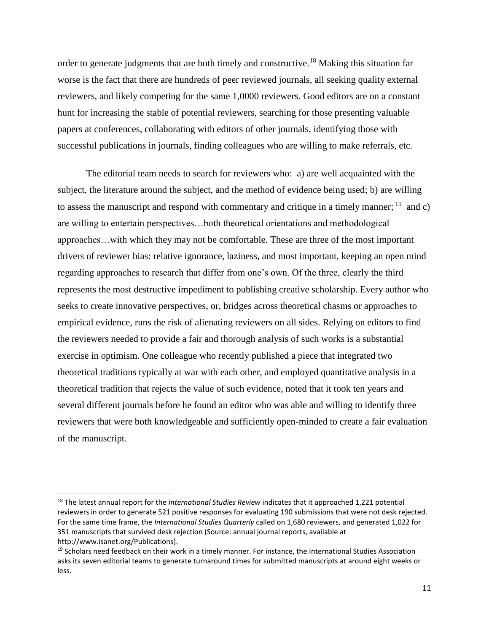order to generate judgments that are both timely and constructive.<sup>18</sup> Making this situation far worse is the fact that there are hundreds of peer reviewed journals, all seeking quality external reviewers, and likely competing for the same 1,0000 reviewers. Good editors are on a constant hunt for increasing the stable of potential reviewers, searching for those presenting valuable papers at conferences, collaborating with editors of other journals, identifying those with successful publications in journals, finding colleagues who are willing to make referrals, etc.

The editorial team needs to search for reviewers who: a) are well acquainted with the subject, the literature around the subject, and the method of evidence being used; b) are willing to assess the manuscript and respond with commentary and critique in a timely manner; <sup>19</sup> and c) are willing to entertain perspectives…both theoretical orientations and methodological approaches…with which they may not be comfortable. These are three of the most important drivers of reviewer bias: relative ignorance, laziness, and most important, keeping an open mind regarding approaches to research that differ from one's own. Of the three, clearly the third represents the most destructive impediment to publishing creative scholarship. Every author who seeks to create innovative perspectives, or, bridges across theoretical chasms or approaches to empirical evidence, runs the risk of alienating reviewers on all sides. Relying on editors to find the reviewers needed to provide a fair and thorough analysis of such works is a substantial exercise in optimism. One colleague who recently published a piece that integrated two theoretical traditions typically at war with each other, and employed quantitative analysis in a theoretical tradition that rejects the value of such evidence, noted that it took ten years and several different journals before he found an editor who was able and willing to identify three reviewers that were both knowledgeable and sufficiently open-minded to create a fair evaluation of the manuscript.

<sup>18</sup> The latest annual report for the *International Studies Review* indicates that it approached 1,221 potential reviewers in order to generate 521 positive responses for evaluating 190 submissions that were not desk rejected. For the same time frame, the *International Studies Quarterly* called on 1,680 reviewers, and generated 1,022 for 351 manuscripts that survived desk rejection (Source: annual journal reports, available at http://www.isanet.org/Publications).

<sup>&</sup>lt;sup>19</sup> Scholars need feedback on their work in a timely manner. For instance, the International Studies Association asks its seven editorial teams to generate turnaround times for submitted manuscripts at around eight weeks or less.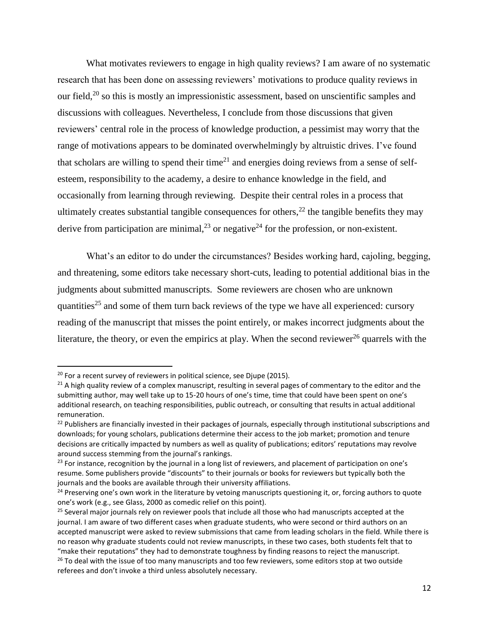What motivates reviewers to engage in high quality reviews? I am aware of no systematic research that has been done on assessing reviewers' motivations to produce quality reviews in our field,<sup>20</sup> so this is mostly an impressionistic assessment, based on unscientific samples and discussions with colleagues. Nevertheless, I conclude from those discussions that given reviewers' central role in the process of knowledge production, a pessimist may worry that the range of motivations appears to be dominated overwhelmingly by altruistic drives. I've found that scholars are willing to spend their time<sup>21</sup> and energies doing reviews from a sense of selfesteem, responsibility to the academy, a desire to enhance knowledge in the field, and occasionally from learning through reviewing. Despite their central roles in a process that ultimately creates substantial tangible consequences for others,  $^{22}$  the tangible benefits they may derive from participation are minimal,  $^{23}$  or negative<sup>24</sup> for the profession, or non-existent.

What's an editor to do under the circumstances? Besides working hard, cajoling, begging, and threatening, some editors take necessary short-cuts, leading to potential additional bias in the judgments about submitted manuscripts. Some reviewers are chosen who are unknown quantities<sup>25</sup> and some of them turn back reviews of the type we have all experienced: cursory reading of the manuscript that misses the point entirely, or makes incorrect judgments about the literature, the theory, or even the empirics at play. When the second reviewer<sup>26</sup> quarrels with the

<sup>&</sup>lt;sup>20</sup> For a recent survey of reviewers in political science, see Diupe (2015).

<sup>&</sup>lt;sup>21</sup> A high quality review of a complex manuscript, resulting in several pages of commentary to the editor and the submitting author, may well take up to 15-20 hours of one's time, time that could have been spent on one's additional research, on teaching responsibilities, public outreach, or consulting that results in actual additional remuneration.

<sup>&</sup>lt;sup>22</sup> Publishers are financially invested in their packages of journals, especially through institutional subscriptions and downloads; for young scholars, publications determine their access to the job market; promotion and tenure decisions are critically impacted by numbers as well as quality of publications; editors' reputations may revolve around success stemming from the journal's rankings.

 $23$  For instance, recognition by the journal in a long list of reviewers, and placement of participation on one's resume. Some publishers provide "discounts" to their journals or books for reviewers but typically both the journals and the books are available through their university affiliations.

<sup>&</sup>lt;sup>24</sup> Preserving one's own work in the literature by vetoing manuscripts questioning it, or, forcing authors to quote one's work (e.g., see Glass, 2000 as comedic relief on this point).

<sup>&</sup>lt;sup>25</sup> Several major journals rely on reviewer pools that include all those who had manuscripts accepted at the journal. I am aware of two different cases when graduate students, who were second or third authors on an accepted manuscript were asked to review submissions that came from leading scholars in the field. While there is no reason why graduate students could not review manuscripts, in these two cases, both students felt that to "make their reputations" they had to demonstrate toughness by finding reasons to reject the manuscript. <sup>26</sup> To deal with the issue of too many manuscripts and too few reviewers, some editors stop at two outside referees and don't invoke a third unless absolutely necessary.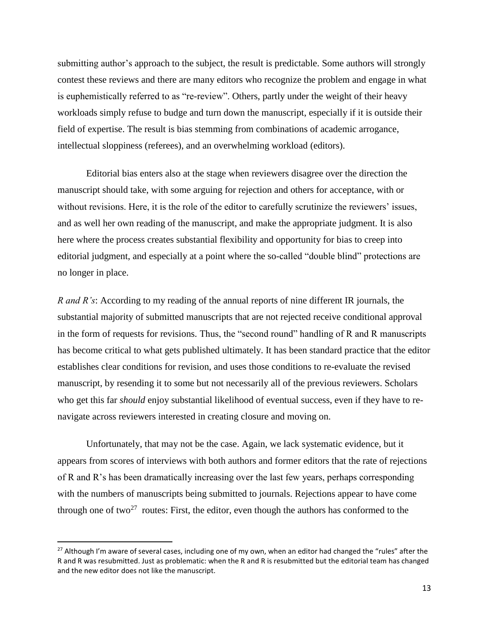submitting author's approach to the subject, the result is predictable. Some authors will strongly contest these reviews and there are many editors who recognize the problem and engage in what is euphemistically referred to as "re-review". Others, partly under the weight of their heavy workloads simply refuse to budge and turn down the manuscript, especially if it is outside their field of expertise. The result is bias stemming from combinations of academic arrogance, intellectual sloppiness (referees), and an overwhelming workload (editors).

Editorial bias enters also at the stage when reviewers disagree over the direction the manuscript should take, with some arguing for rejection and others for acceptance, with or without revisions. Here, it is the role of the editor to carefully scrutinize the reviewers' issues, and as well her own reading of the manuscript, and make the appropriate judgment. It is also here where the process creates substantial flexibility and opportunity for bias to creep into editorial judgment, and especially at a point where the so-called "double blind" protections are no longer in place.

*R and R's*: According to my reading of the annual reports of nine different IR journals, the substantial majority of submitted manuscripts that are not rejected receive conditional approval in the form of requests for revisions. Thus, the "second round" handling of R and R manuscripts has become critical to what gets published ultimately. It has been standard practice that the editor establishes clear conditions for revision, and uses those conditions to re-evaluate the revised manuscript, by resending it to some but not necessarily all of the previous reviewers. Scholars who get this far *should* enjoy substantial likelihood of eventual success, even if they have to renavigate across reviewers interested in creating closure and moving on.

Unfortunately, that may not be the case. Again, we lack systematic evidence, but it appears from scores of interviews with both authors and former editors that the rate of rejections of R and R's has been dramatically increasing over the last few years, perhaps corresponding with the numbers of manuscripts being submitted to journals. Rejections appear to have come through one of two<sup>27</sup> routes: First, the editor, even though the authors has conformed to the

<sup>&</sup>lt;sup>27</sup> Although I'm aware of several cases, including one of my own, when an editor had changed the "rules" after the R and R was resubmitted. Just as problematic: when the R and R is resubmitted but the editorial team has changed and the new editor does not like the manuscript.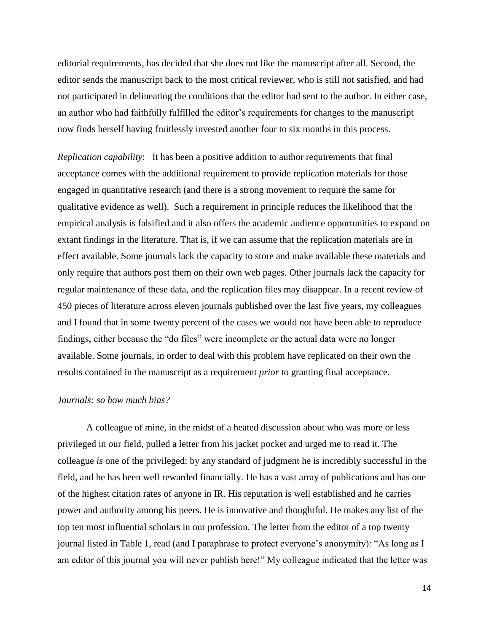editorial requirements, has decided that she does not like the manuscript after all. Second, the editor sends the manuscript back to the most critical reviewer, who is still not satisfied, and had not participated in delineating the conditions that the editor had sent to the author. In either case, an author who had faithfully fulfilled the editor's requirements for changes to the manuscript now finds herself having fruitlessly invested another four to six months in this process.

*Replication capability*: It has been a positive addition to author requirements that final acceptance comes with the additional requirement to provide replication materials for those engaged in quantitative research (and there is a strong movement to require the same for qualitative evidence as well). Such a requirement in principle reduces the likelihood that the empirical analysis is falsified and it also offers the academic audience opportunities to expand on extant findings in the literature. That is, if we can assume that the replication materials are in effect available. Some journals lack the capacity to store and make available these materials and only require that authors post them on their own web pages. Other journals lack the capacity for regular maintenance of these data, and the replication files may disappear. In a recent review of 450 pieces of literature across eleven journals published over the last five years, my colleagues and I found that in some twenty percent of the cases we would not have been able to reproduce findings, either because the "do files" were incomplete or the actual data were no longer available. Some journals, in order to deal with this problem have replicated on their own the results contained in the manuscript as a requirement *prior* to granting final acceptance.

# *Journals: so how much bias?*

A colleague of mine, in the midst of a heated discussion about who was more or less privileged in our field, pulled a letter from his jacket pocket and urged me to read it. The colleague *is* one of the privileged: by any standard of judgment he is incredibly successful in the field, and he has been well rewarded financially. He has a vast array of publications and has one of the highest citation rates of anyone in IR. His reputation is well established and he carries power and authority among his peers. He is innovative and thoughtful. He makes any list of the top ten most influential scholars in our profession. The letter from the editor of a top twenty journal listed in Table 1, read (and I paraphrase to protect everyone's anonymity): "As long as I am editor of this journal you will never publish here!" My colleague indicated that the letter was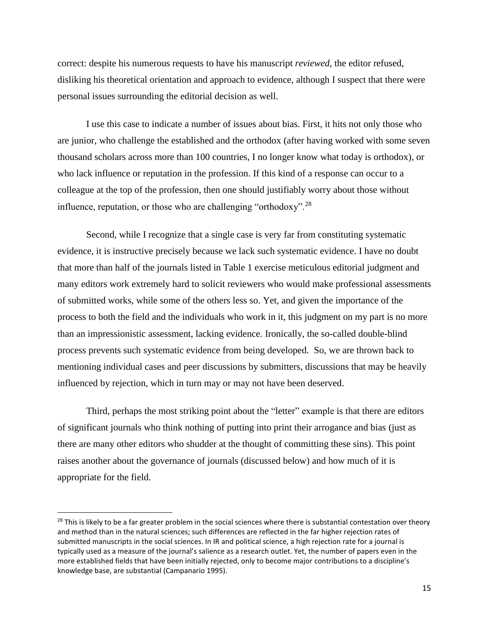correct: despite his numerous requests to have his manuscript *reviewed*, the editor refused, disliking his theoretical orientation and approach to evidence, although I suspect that there were personal issues surrounding the editorial decision as well.

I use this case to indicate a number of issues about bias. First, it hits not only those who are junior, who challenge the established and the orthodox (after having worked with some seven thousand scholars across more than 100 countries, I no longer know what today is orthodox), or who lack influence or reputation in the profession. If this kind of a response can occur to a colleague at the top of the profession, then one should justifiably worry about those without influence, reputation, or those who are challenging "orthodoxy".<sup>28</sup>

Second, while I recognize that a single case is very far from constituting systematic evidence, it is instructive precisely because we lack such systematic evidence. I have no doubt that more than half of the journals listed in Table 1 exercise meticulous editorial judgment and many editors work extremely hard to solicit reviewers who would make professional assessments of submitted works, while some of the others less so. Yet, and given the importance of the process to both the field and the individuals who work in it, this judgment on my part is no more than an impressionistic assessment, lacking evidence. Ironically, the so-called double-blind process prevents such systematic evidence from being developed. So, we are thrown back to mentioning individual cases and peer discussions by submitters, discussions that may be heavily influenced by rejection, which in turn may or may not have been deserved.

Third, perhaps the most striking point about the "letter" example is that there are editors of significant journals who think nothing of putting into print their arrogance and bias (just as there are many other editors who shudder at the thought of committing these sins). This point raises another about the governance of journals (discussed below) and how much of it is appropriate for the field.

 $\overline{a}$ 

 $28$  This is likely to be a far greater problem in the social sciences where there is substantial contestation over theory and method than in the natural sciences; such differences are reflected in the far higher rejection rates of submitted manuscripts in the social sciences. In IR and political science, a high rejection rate for a journal is typically used as a measure of the journal's salience as a research outlet. Yet, the number of papers even in the more established fields that have been initially rejected, only to become major contributions to a discipline's knowledge base, are substantial (Campanario 1995).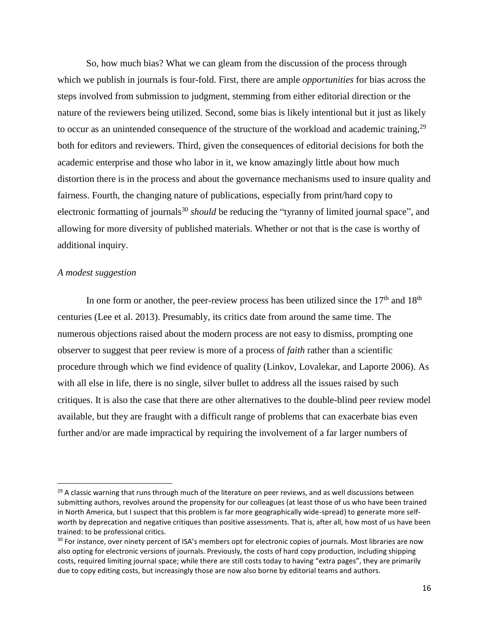So, how much bias? What we can gleam from the discussion of the process through which we publish in journals is four-fold. First, there are ample *opportunities* for bias across the steps involved from submission to judgment, stemming from either editorial direction or the nature of the reviewers being utilized. Second, some bias is likely intentional but it just as likely to occur as an unintended consequence of the structure of the workload and academic training,<sup>29</sup> both for editors and reviewers. Third, given the consequences of editorial decisions for both the academic enterprise and those who labor in it, we know amazingly little about how much distortion there is in the process and about the governance mechanisms used to insure quality and fairness. Fourth, the changing nature of publications, especially from print/hard copy to electronic formatting of journals<sup>30</sup> *should* be reducing the "tyranny of limited journal space", and allowing for more diversity of published materials. Whether or not that is the case is worthy of additional inquiry.

#### *A modest suggestion*

 $\overline{\phantom{a}}$ 

In one form or another, the peer-review process has been utilized since the  $17<sup>th</sup>$  and  $18<sup>th</sup>$ centuries (Lee et al. 2013). Presumably, its critics date from around the same time. The numerous objections raised about the modern process are not easy to dismiss, prompting one observer to suggest that peer review is more of a process of *faith* rather than a scientific procedure through which we find evidence of quality (Linkov, Lovalekar, and Laporte 2006). As with all else in life, there is no single, silver bullet to address all the issues raised by such critiques. It is also the case that there are other alternatives to the double-blind peer review model available, but they are fraught with a difficult range of problems that can exacerbate bias even further and/or are made impractical by requiring the involvement of a far larger numbers of

<sup>&</sup>lt;sup>29</sup> A classic warning that runs through much of the literature on peer reviews, and as well discussions between submitting authors, revolves around the propensity for our colleagues (at least those of us who have been trained in North America, but I suspect that this problem is far more geographically wide-spread) to generate more selfworth by deprecation and negative critiques than positive assessments. That is, after all, how most of us have been trained: to be professional critics.

<sup>&</sup>lt;sup>30</sup> For instance, over ninety percent of ISA's members opt for electronic copies of journals. Most libraries are now also opting for electronic versions of journals. Previously, the costs of hard copy production, including shipping costs, required limiting journal space; while there are still costs today to having "extra pages", they are primarily due to copy editing costs, but increasingly those are now also borne by editorial teams and authors.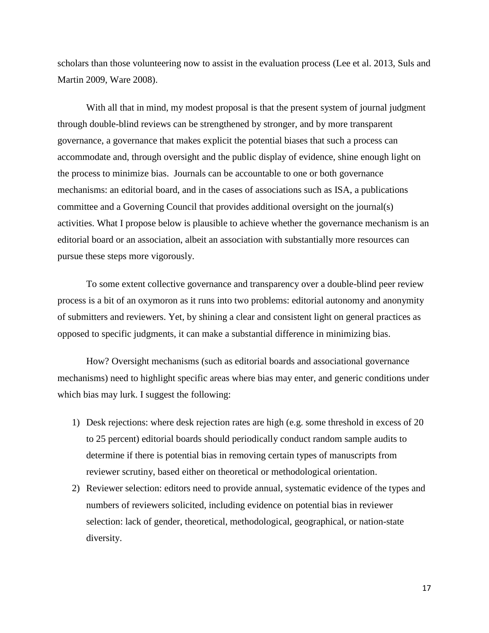scholars than those volunteering now to assist in the evaluation process (Lee et al. 2013, Suls and Martin 2009, Ware 2008).

With all that in mind, my modest proposal is that the present system of journal judgment through double-blind reviews can be strengthened by stronger, and by more transparent governance, a governance that makes explicit the potential biases that such a process can accommodate and, through oversight and the public display of evidence, shine enough light on the process to minimize bias. Journals can be accountable to one or both governance mechanisms: an editorial board, and in the cases of associations such as ISA, a publications committee and a Governing Council that provides additional oversight on the journal(s) activities. What I propose below is plausible to achieve whether the governance mechanism is an editorial board or an association, albeit an association with substantially more resources can pursue these steps more vigorously.

To some extent collective governance and transparency over a double-blind peer review process is a bit of an oxymoron as it runs into two problems: editorial autonomy and anonymity of submitters and reviewers. Yet, by shining a clear and consistent light on general practices as opposed to specific judgments, it can make a substantial difference in minimizing bias.

How? Oversight mechanisms (such as editorial boards and associational governance mechanisms) need to highlight specific areas where bias may enter, and generic conditions under which bias may lurk. I suggest the following:

- 1) Desk rejections: where desk rejection rates are high (e.g. some threshold in excess of 20 to 25 percent) editorial boards should periodically conduct random sample audits to determine if there is potential bias in removing certain types of manuscripts from reviewer scrutiny, based either on theoretical or methodological orientation.
- 2) Reviewer selection: editors need to provide annual, systematic evidence of the types and numbers of reviewers solicited, including evidence on potential bias in reviewer selection: lack of gender, theoretical, methodological, geographical, or nation-state diversity.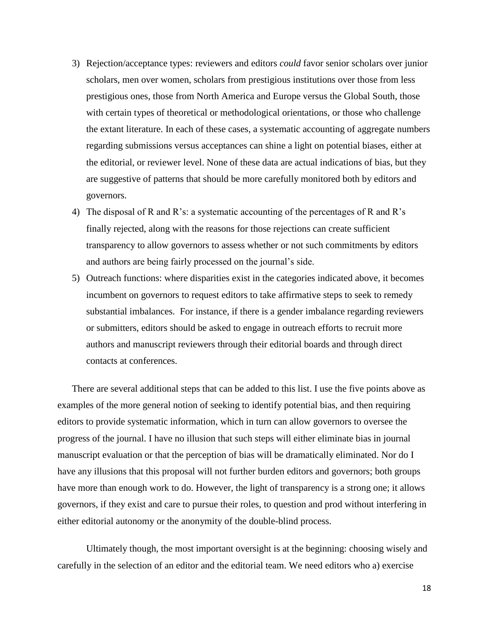- 3) Rejection/acceptance types: reviewers and editors *could* favor senior scholars over junior scholars, men over women, scholars from prestigious institutions over those from less prestigious ones, those from North America and Europe versus the Global South, those with certain types of theoretical or methodological orientations, or those who challenge the extant literature. In each of these cases, a systematic accounting of aggregate numbers regarding submissions versus acceptances can shine a light on potential biases, either at the editorial, or reviewer level. None of these data are actual indications of bias, but they are suggestive of patterns that should be more carefully monitored both by editors and governors.
- 4) The disposal of R and R's: a systematic accounting of the percentages of R and R's finally rejected, along with the reasons for those rejections can create sufficient transparency to allow governors to assess whether or not such commitments by editors and authors are being fairly processed on the journal's side.
- 5) Outreach functions: where disparities exist in the categories indicated above, it becomes incumbent on governors to request editors to take affirmative steps to seek to remedy substantial imbalances. For instance, if there is a gender imbalance regarding reviewers or submitters, editors should be asked to engage in outreach efforts to recruit more authors and manuscript reviewers through their editorial boards and through direct contacts at conferences.

There are several additional steps that can be added to this list. I use the five points above as examples of the more general notion of seeking to identify potential bias, and then requiring editors to provide systematic information, which in turn can allow governors to oversee the progress of the journal. I have no illusion that such steps will either eliminate bias in journal manuscript evaluation or that the perception of bias will be dramatically eliminated. Nor do I have any illusions that this proposal will not further burden editors and governors; both groups have more than enough work to do. However, the light of transparency is a strong one; it allows governors, if they exist and care to pursue their roles, to question and prod without interfering in either editorial autonomy or the anonymity of the double-blind process.

Ultimately though, the most important oversight is at the beginning: choosing wisely and carefully in the selection of an editor and the editorial team. We need editors who a) exercise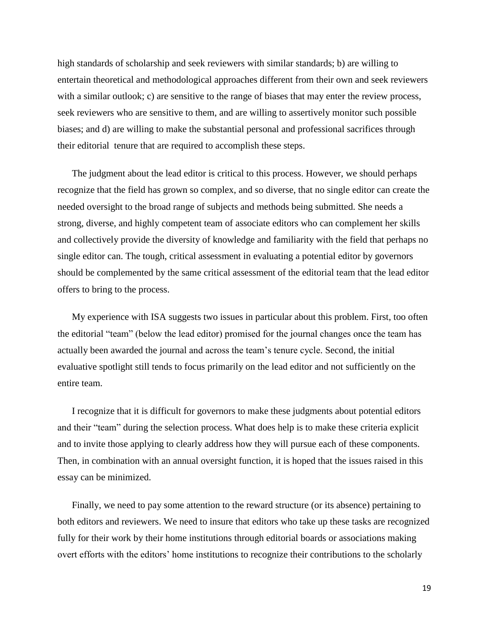high standards of scholarship and seek reviewers with similar standards; b) are willing to entertain theoretical and methodological approaches different from their own and seek reviewers with a similar outlook; c) are sensitive to the range of biases that may enter the review process, seek reviewers who are sensitive to them, and are willing to assertively monitor such possible biases; and d) are willing to make the substantial personal and professional sacrifices through their editorial tenure that are required to accomplish these steps.

The judgment about the lead editor is critical to this process. However, we should perhaps recognize that the field has grown so complex, and so diverse, that no single editor can create the needed oversight to the broad range of subjects and methods being submitted. She needs a strong, diverse, and highly competent team of associate editors who can complement her skills and collectively provide the diversity of knowledge and familiarity with the field that perhaps no single editor can. The tough, critical assessment in evaluating a potential editor by governors should be complemented by the same critical assessment of the editorial team that the lead editor offers to bring to the process.

My experience with ISA suggests two issues in particular about this problem. First, too often the editorial "team" (below the lead editor) promised for the journal changes once the team has actually been awarded the journal and across the team's tenure cycle. Second, the initial evaluative spotlight still tends to focus primarily on the lead editor and not sufficiently on the entire team.

I recognize that it is difficult for governors to make these judgments about potential editors and their "team" during the selection process. What does help is to make these criteria explicit and to invite those applying to clearly address how they will pursue each of these components. Then, in combination with an annual oversight function, it is hoped that the issues raised in this essay can be minimized.

Finally, we need to pay some attention to the reward structure (or its absence) pertaining to both editors and reviewers. We need to insure that editors who take up these tasks are recognized fully for their work by their home institutions through editorial boards or associations making overt efforts with the editors' home institutions to recognize their contributions to the scholarly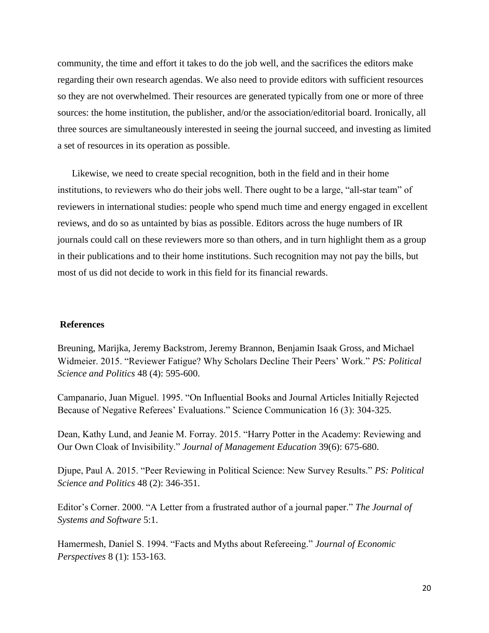community, the time and effort it takes to do the job well, and the sacrifices the editors make regarding their own research agendas. We also need to provide editors with sufficient resources so they are not overwhelmed. Their resources are generated typically from one or more of three sources: the home institution, the publisher, and/or the association/editorial board. Ironically, all three sources are simultaneously interested in seeing the journal succeed, and investing as limited a set of resources in its operation as possible.

Likewise, we need to create special recognition, both in the field and in their home institutions, to reviewers who do their jobs well. There ought to be a large, "all-star team" of reviewers in international studies: people who spend much time and energy engaged in excellent reviews, and do so as untainted by bias as possible. Editors across the huge numbers of IR journals could call on these reviewers more so than others, and in turn highlight them as a group in their publications and to their home institutions. Such recognition may not pay the bills, but most of us did not decide to work in this field for its financial rewards.

# **References**

Breuning, Marijka, Jeremy Backstrom, Jeremy Brannon, Benjamin Isaak Gross, and Michael Widmeier. 2015. "Reviewer Fatigue? Why Scholars Decline Their Peers' Work." *PS: Political Science and Politics* 48 (4): 595-600.

Campanario, Juan Miguel. 1995. "On Influential Books and Journal Articles Initially Rejected Because of Negative Referees' Evaluations." Science Communication 16 (3): 304-325.

Dean, Kathy Lund, and Jeanie M. Forray. 2015. "Harry Potter in the Academy: Reviewing and Our Own Cloak of Invisibility." *Journal of Management Education* 39(6): 675-680.

Djupe, Paul A. 2015. "Peer Reviewing in Political Science: New Survey Results." *PS: Political Science and Politics* 48 (2): 346-351.

Editor's Corner. 2000. "A Letter from a frustrated author of a journal paper." *The Journal of Systems and Software* 5:1.

Hamermesh, Daniel S. 1994. "Facts and Myths about Refereeing." *Journal of Economic Perspectives* 8 (1): 153-163.